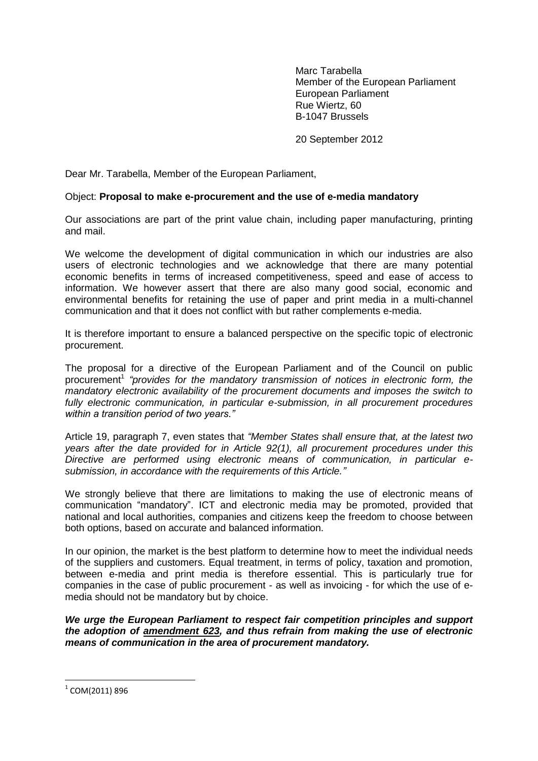Marc Tarabella Member of the European Parliament European Parliament Rue Wiertz, 60 B-1047 Brussels

20 September 2012

Dear Mr. Tarabella, Member of the European Parliament,

## Object: **Proposal to make e-procurement and the use of e-media mandatory**

Our associations are part of the print value chain, including paper manufacturing, printing and mail.

We welcome the development of digital communication in which our industries are also users of electronic technologies and we acknowledge that there are many potential economic benefits in terms of increased competitiveness, speed and ease of access to information. We however assert that there are also many good social, economic and environmental benefits for retaining the use of paper and print media in a multi-channel communication and that it does not conflict with but rather complements e-media.

It is therefore important to ensure a balanced perspective on the specific topic of electronic procurement.

The proposal for a directive of the European Parliament and of the Council on public procurement<sup>1</sup> "provides for the mandatory transmission of notices in electronic form, the *mandatory electronic availability of the procurement documents and imposes the switch to fully electronic communication, in particular e-submission, in all procurement procedures within a transition period of two years."*

Article 19, paragraph 7, even states that *"Member States shall ensure that, at the latest two years after the date provided for in Article 92(1), all procurement procedures under this Directive are performed using electronic means of communication, in particular esubmission, in accordance with the requirements of this Article."*

We strongly believe that there are limitations to making the use of electronic means of communication "mandatory". ICT and electronic media may be promoted, provided that national and local authorities, companies and citizens keep the freedom to choose between both options, based on accurate and balanced information.

In our opinion, the market is the best platform to determine how to meet the individual needs of the suppliers and customers. Equal treatment, in terms of policy, taxation and promotion, between e-media and print media is therefore essential. This is particularly true for companies in the case of public procurement - as well as invoicing - for which the use of emedia should not be mandatory but by choice.

*We urge the European Parliament to respect fair competition principles and support the adoption of amendment 623, and thus refrain from making the use of electronic means of communication in the area of procurement mandatory.*

**.** 

 $^{\rm 1}$  COM(2011) 896